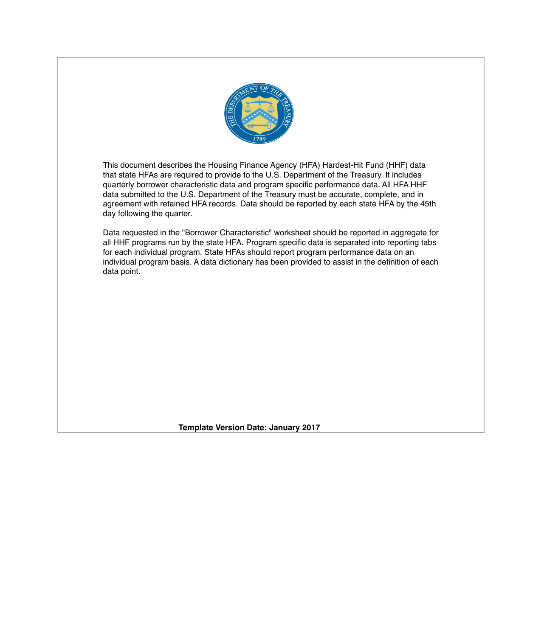

This document describes the Housing Finance Agency (HFA) Hardest-Hit Fund (HHF) data that state HFAs are required to provide to the U.S. Department of the Treasury. It includes quarterly borrower characteristic data and program specific performance data. All HFA HHF data submitted to the U.S. Department of the Treasury must be accurate, complete, and in agreement with retained HFA records. Data should be reported by each state HFA by the 45th day following the quarter.

Data requested in the "Borrower Characteristic" worksheet should be reported in aggregate for all HHF programs run by the state HFA. Program specific data is separated into reporting tabs for each individual program. State HFAs should report program performance data on an individual program basis. A data dictionary has been provided to assist in the definition of each data point.

**Template Version Date: January 2017**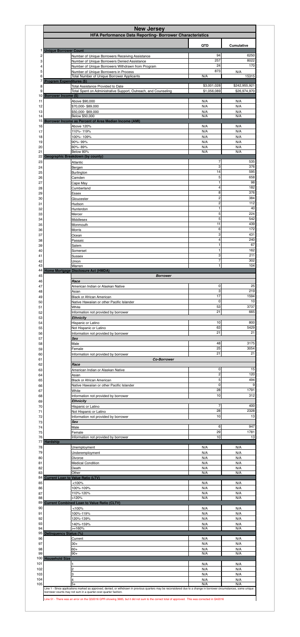|                              | HFA Performance Data Reporting- Borrower Characteristics                                                    |                      |                   |
|------------------------------|-------------------------------------------------------------------------------------------------------------|----------------------|-------------------|
|                              |                                                                                                             | <b>QTD</b>           | <b>Cumulative</b> |
| <b>Unique Borrower Count</b> | Number of Unique Borrowers Receiving Assistance                                                             | 94                   | 6250              |
|                              | Number of Unique Borrowers Denied Assistance                                                                | 257                  | 8022              |
|                              | Number of Unique Borrowers Withdrawn from Program<br>Number of Unique Borrowers in Process                  | 24<br>873            | 170<br>N/A        |
|                              | <b>Total Number of Unique Borrower Applicants</b>                                                           | N/A                  | 15315             |
|                              | <b>Program Expenditures (\$)</b>                                                                            | \$3,001,028          | \$242,955,921     |
|                              | <b>Total Assistance Provided to Date</b><br>Total Spent on Administrative Support, Outreach, and Counseling | \$1,056,089          | \$26,974,970      |
| 10 Borrower Income (\$)      |                                                                                                             |                      |                   |
|                              | Above \$90,000<br>\$70,000-\$89,000                                                                         | N/A<br>N/A           | N/A<br>N/A        |
|                              | \$50,000-\$69,000                                                                                           | N/A                  | N/A               |
|                              | Below \$50,000<br>15 Borrower Income as Percent of Area Median Income (AMI)                                 | N/A                  | N/A               |
|                              | Above 120%                                                                                                  | N/A                  | N/A               |
|                              | 110%-119%<br>100%-109%                                                                                      | N/A<br>N/A           | N/A<br>N/A        |
|                              | 90%-99%                                                                                                     | N/A                  | N/A               |
|                              | 80%-89%<br>Below 80%                                                                                        | N/A<br>N/A           | N/A<br>N/A        |
|                              | <b>Geographic Breakdown (by county)</b>                                                                     |                      |                   |
|                              | Atlantic                                                                                                    | 7<br>3               | 535<br>376        |
|                              | Bergen<br><b>Burlington</b>                                                                                 | 14                   | 595               |
|                              | Camden                                                                                                      | 5                    | 658               |
|                              | Cape May<br>Cumberland                                                                                      | 1<br>4               | 98<br>182         |
|                              | Essex                                                                                                       | 8                    | 376               |
|                              | Gloucester                                                                                                  | $\boldsymbol{2}$     | 384               |
|                              | Hudson<br>Hunterdon                                                                                         | $\overline{c}$<br>1  | 112<br>40         |
|                              | Mercer                                                                                                      | 5                    | 224               |
|                              | Middlesex<br>Monmouth                                                                                       | 5<br>11              | 542<br>439        |
|                              | <b>Morris</b>                                                                                               | 6                    | 172               |
|                              | Ocean                                                                                                       | 3<br>4               | 431<br>240        |
|                              | Passaic<br>Salem                                                                                            | 1                    | 67                |
|                              | Somerset                                                                                                    |                      | 162               |
|                              | <b>Sussex</b><br>Union                                                                                      | 3<br>7               | 211<br>302        |
|                              | Warren                                                                                                      | 1.                   | 104               |
|                              | 44 Home Mortgage Disclosure Act (HMDA)<br><b>Borrower</b>                                                   |                      |                   |
|                              | Race                                                                                                        |                      |                   |
|                              | American Indian or Alaskan Native                                                                           | 0                    | 25                |
|                              | Asian<br><b>Black or African American</b>                                                                   | 3<br>17              | 219<br>1594       |
|                              | Native Hawaiian or other Pacific Islander                                                                   | 0                    | 10                |
|                              | White<br>Information not provided by borrower                                                               | 53<br>21             | 3737<br>665       |
|                              | <b>Ethnicity</b>                                                                                            |                      |                   |
|                              | Hispanic or Latino                                                                                          | 10                   | 800               |
|                              | Not Hispanic or Latino<br>Information not provided by borrower                                              | 63<br>21             | 5429<br>21        |
|                              | <b>Sex</b>                                                                                                  |                      |                   |
|                              | Male                                                                                                        | 48<br>25             | 3175<br>3054      |
|                              | Female<br>Information not provided by borrower                                                              | 21                   | 21                |
|                              |                                                                                                             |                      |                   |
|                              | <b>Co-Borrower</b>                                                                                          |                      |                   |
|                              | Race                                                                                                        |                      |                   |
|                              | American Indian or Alaskan Native<br>Asian                                                                  | 0<br>$\mathbf 2$     | 15<br>120         |
|                              | <b>Black or African American</b>                                                                            | 5                    | 494               |
|                              | Native Hawaiian or other Pacific Islander                                                                   | $\mathbf 0$<br>28    | 9<br>1791         |
|                              | White<br>Information not provided by borrower                                                               | 10                   | 312               |
|                              | <b>Ethnicity</b>                                                                                            |                      |                   |
|                              | Hispanic or Latino<br>Not Hispanic or Latino                                                                | $\overline{7}$<br>28 | 400<br>2328       |
|                              | Information not provided by borrower                                                                        | 10                   | 13                |
|                              | <b>Sex</b><br>Male                                                                                          | 6                    | 947               |
|                              | Female                                                                                                      | 29                   | 1781              |
|                              | Information not provided by borrower                                                                        | 10                   | 13                |
| <b>Hardship</b>              | Unemployment                                                                                                | N/A                  | N/A               |
|                              | Underemployment                                                                                             | N/A                  | N/A               |
|                              | Divorce<br><b>Medical Condition</b>                                                                         | N/A<br>N/A           | N/A<br>N/A        |
|                              | Death                                                                                                       | N/A                  | N/A               |
|                              | Other                                                                                                       | N/A                  | N/A               |
|                              | <b>Current Loan to Value Ratio (LTV)</b><br>< 100%                                                          | N/A                  | N/A               |
|                              | 100%-109%                                                                                                   | N/A                  | N/A               |
|                              | 110%-120%<br>>120%                                                                                          | N/A<br>N/A           | N/A<br>N/A        |
|                              | 89 Current Combined Loan to Value Ratio (CLTV)                                                              |                      |                   |
|                              | < 100%                                                                                                      | N/A<br>N/A           | N/A<br>N/A        |
|                              | 100%-119%<br>120%-139%                                                                                      | N/A                  | N/A               |
|                              | 140%-159%                                                                                                   | N/A                  | N/A               |
| Delinquency Status (%)       | $>=160%$                                                                                                    | N/A                  | N/A               |
|                              | Current                                                                                                     | N/A                  | N/A               |
|                              | $30+$                                                                                                       | N/A                  | N/A               |
|                              | $60+$<br>90+                                                                                                | N/A<br>N/A           | N/A<br>N/A        |
| 100 Household Size           |                                                                                                             |                      |                   |
|                              |                                                                                                             | N/A                  | N/A               |
|                              | 2<br>3                                                                                                      | N/A<br>N/A           | N/A<br>N/A        |

Line 51 - There was an error on the Q32016 QPR showing 3685, but it did not sum to the correct total of approved. This was corrected in Q42016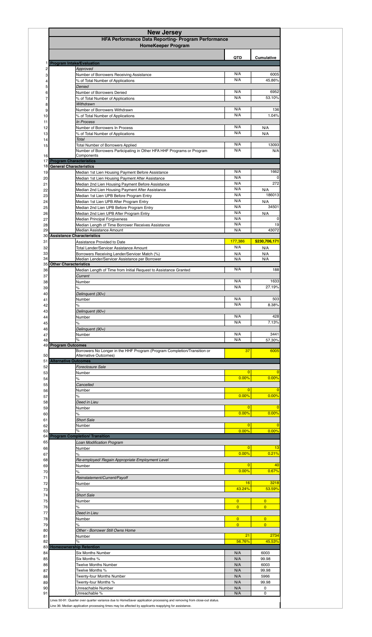|                                                                 | HFA Performance Data Reporting- Program Performance                                                                |                                  |                                  |
|-----------------------------------------------------------------|--------------------------------------------------------------------------------------------------------------------|----------------------------------|----------------------------------|
|                                                                 | <b>HomeKeeper Program</b>                                                                                          |                                  |                                  |
|                                                                 |                                                                                                                    |                                  |                                  |
| <b>Program Intake/Evaluation</b>                                |                                                                                                                    | <b>QTD</b>                       | <b>Cumulative</b>                |
|                                                                 | Approved<br>Number of Borrowers Receiving Assistance                                                               | N/A                              | 6005                             |
|                                                                 | % of Total Number of Applications                                                                                  | N/A                              | 45.86%                           |
|                                                                 | Denied<br>Number of Borrowers Denied                                                                               | N/A                              | 6952                             |
|                                                                 | % of Total Number of Applications                                                                                  | N/A                              | 53.10%                           |
|                                                                 | Withdrawn                                                                                                          |                                  |                                  |
|                                                                 | Number of Borrowers Withdrawn<br>% of Total Number of Applications                                                 | N/A<br>N/A                       | 136<br>1.04%                     |
|                                                                 | <b>In Process</b>                                                                                                  |                                  |                                  |
|                                                                 | Number of Borrowers In Process<br>% of Total Number of Applications                                                | N/A<br>N/A                       | N/A<br>N/A                       |
|                                                                 | Total                                                                                                              |                                  |                                  |
|                                                                 | <b>Total Number of Borrowers Applied</b><br>Number of Borrowers Participating in Other HFA HHF Programs or Program | N/A<br>N/A                       | 13093<br>N/A                     |
|                                                                 | Components                                                                                                         |                                  |                                  |
| <b>17 Program Characteristics</b><br>18 General Characteristics |                                                                                                                    |                                  |                                  |
|                                                                 | Median 1st Lien Housing Payment Before Assistance                                                                  | N/A                              | 1662                             |
|                                                                 | Median 1st Lien Housing Payment After Assistance<br>Median 2nd Lien Housing Payment Before Assistance              | N/A<br>N/A                       | O<br>272                         |
|                                                                 | Median 2nd Lien Housing Payment After Assistance                                                                   | N/A                              | N/A                              |
|                                                                 | Median 1st Lien UPB Before Program Entry                                                                           | N/A                              | 186013                           |
|                                                                 | Median 1st Lien UPB After Program Entry<br>Median 2nd Lien UPB Before Program Entry                                | N/A<br>N/A                       | N/A<br>34501                     |
|                                                                 | Median 2nd Lien UPB After Program Entry                                                                            | N/A                              | N/A                              |
|                                                                 | <b>Median Principal Forgiveness</b>                                                                                | N/A<br>N/A                       | O<br>19                          |
|                                                                 | Median Length of Time Borrower Receives Assistance<br>Median Assistance Amount                                     | N/A                              | 43072                            |
| 30 Assistance Characteristics                                   |                                                                                                                    |                                  |                                  |
|                                                                 | Assistance Provided to Date<br><b>Total Lender/Servicer Assistance Amount</b>                                      | 177,386<br>N/A                   | \$230,706,171<br>N/A             |
|                                                                 | Borrowers Receiving Lender/Servicer Match (%)                                                                      | N/A                              | N/A                              |
| <b>Other Characteristics</b>                                    | Median Lender/Servicer Assistance per Borrower                                                                     | N/A                              | N/A                              |
|                                                                 | Median Length of Time from Initial Request to Assistance Granted                                                   | N/A                              | 188                              |
|                                                                 | Current<br>Number                                                                                                  | N/A                              | 1633                             |
|                                                                 | $\%$                                                                                                               | N/A                              | 27.19%                           |
|                                                                 | Delinquent (30+)                                                                                                   |                                  |                                  |
|                                                                 | Number<br>%                                                                                                        | N/A<br>N/A                       | 503<br>8.38%                     |
|                                                                 | Delinquent (60+)                                                                                                   |                                  |                                  |
|                                                                 | Number                                                                                                             | N/A<br>N/A                       | 428<br>7.13%                     |
|                                                                 | $\%$<br>Delinquent (90+)                                                                                           |                                  |                                  |
|                                                                 | Number                                                                                                             | N/A                              | 3441                             |
| <b>Program Outcomes</b>                                         | %                                                                                                                  | N/A                              | 57.30%                           |
|                                                                 | Borrowers No Longer in the HHF Program (Program Completion/Transition or<br>Alternative Outcomes)                  | 37                               | 6005                             |
| <b>Alternative Outcomes</b>                                     |                                                                                                                    |                                  |                                  |
|                                                                 | Foreclosure Sale                                                                                                   |                                  |                                  |
|                                                                 | Number<br>O/2<br>70                                                                                                | 0.00%                            | 0.00%<br>$\ddotsc$               |
|                                                                 | Cancelled                                                                                                          |                                  |                                  |
|                                                                 | Number<br>%                                                                                                        | 0<br>0.00%                       | 0.00%                            |
|                                                                 | Deed in Lieu                                                                                                       |                                  |                                  |
|                                                                 | Number                                                                                                             | O                                |                                  |
|                                                                 | %                                                                                                                  | 0.00%                            | 0.00%                            |
|                                                                 |                                                                                                                    |                                  |                                  |
|                                                                 | <b>Short Sale</b><br>Number                                                                                        |                                  |                                  |
|                                                                 |                                                                                                                    | 0.00%                            | 0.00%                            |
|                                                                 | <b>Program Completion/ Transition</b><br><b>Loan Modification Program</b>                                          |                                  |                                  |
|                                                                 | Number                                                                                                             | $\overline{0}$                   | 13                               |
|                                                                 | Re-employed/ Regain Appropriate Employment Level                                                                   | 0.00%                            | 0.21%                            |
|                                                                 | Number                                                                                                             | $\overline{0}$                   | 40                               |
|                                                                 | ℅                                                                                                                  | 0.00%                            | 0.67%                            |
|                                                                 | Reinstatement/Current/Payoff<br>Number                                                                             | 16                               | 3218                             |
|                                                                 | ℅                                                                                                                  | 43.24%                           | 53.59%                           |
|                                                                 | <b>Short Sale</b>                                                                                                  |                                  |                                  |
|                                                                 | Number<br>℅                                                                                                        | $\overline{0}$<br>$\overline{0}$ | $\overline{0}$<br>$\overline{0}$ |
|                                                                 | Deed in Lieu                                                                                                       |                                  |                                  |
|                                                                 | Number                                                                                                             | $\overline{0}$<br>$\overline{0}$ | $\overline{0}$<br>$\overline{0}$ |
|                                                                 | Other - Borrower Still Owns Home                                                                                   |                                  |                                  |
|                                                                 | Number<br>$\%$                                                                                                     | 21<br>56.76%                     | 2734<br>45.53%                   |
|                                                                 |                                                                                                                    |                                  |                                  |
|                                                                 | <b>Six Months Number</b><br>Six Months %                                                                           | N/A<br>N/A                       | 6003<br>99.98                    |
| <b>Homeownership Retention</b>                                  | <b>Twelve Months Number</b>                                                                                        | N/A                              | 6003                             |
|                                                                 | Twelve Months %                                                                                                    | N/A                              | 99.98                            |
|                                                                 | <b>Twenty-four Months Number</b><br>Twenty-four Months %                                                           | N/A<br>N/A                       | 5966<br>99.98                    |
|                                                                 | Unreachable Number<br>Unreachable %                                                                                | N/A<br>N/A                       | $\mathbf 0$<br>$\mathbf 0$       |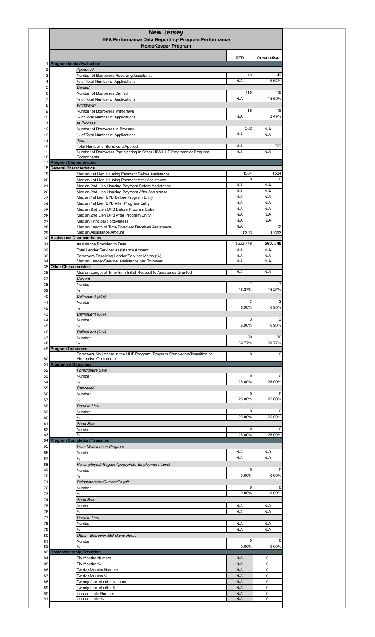|                     | HFA Performance Data Reporting- Program Performance<br><b>HomeKeeper Program</b>             |             |                   |
|---------------------|----------------------------------------------------------------------------------------------|-------------|-------------------|
|                     |                                                                                              |             |                   |
|                     |                                                                                              |             |                   |
|                     | <b>Program Intake/Evaluation</b>                                                             | <b>QTD</b>  | <b>Cumulative</b> |
|                     | Approved                                                                                     |             |                   |
|                     | Number of Borrowers Receiving Assistance                                                     | 43<br>N/A   | 43                |
|                     | % of Total Number of Applications<br>Denied                                                  |             | 5.64%             |
|                     | Number of Borrowers Denied                                                                   | 119         | 119               |
|                     | % of Total Number of Applications                                                            | N/A         | 15.60%            |
|                     | Withdrawn<br>Number of Borrowers Withdrawn                                                   | 19          | 19                |
|                     | % of Total Number of Applications                                                            | N/A         | 2.49%             |
|                     | In Process                                                                                   | 582         |                   |
|                     | Number of Borrowers In Process<br>% of Total Number of Applications                          | N/A         | N/A<br>N/A        |
|                     | Total                                                                                        |             |                   |
|                     | <b>Total Number of Borrowers Applied</b>                                                     | N/A<br>N/A  | 763<br>N/A        |
|                     | Number of Borrowers Participating in Other HFA HHF Programs or Program<br>Components         |             |                   |
|                     | <b>17 Program Characteristics</b><br>18 General Characteristics                              |             |                   |
|                     | Median 1st Lien Housing Payment Before Assistance                                            | 1534        | 1534              |
|                     | Median 1st Lien Housing Payment After Assistance                                             | 0           |                   |
|                     | Median 2nd Lien Housing Payment Before Assistance                                            | N/A<br>N/A  | N/A<br>N/A        |
|                     | Median 2nd Lien Housing Payment After Assistance<br>Median 1st Lien UPB Before Program Entry | N/A         | N/A               |
|                     | Median 1st Lien UPB After Program Entry                                                      | N/A         | N/A               |
|                     | Median 2nd Lien UPB Before Program Entry                                                     | N/A         | N/A               |
|                     | Median 2nd Lien UPB After Program Entry                                                      | N/A<br>N/A  | N/A<br>N/A        |
|                     | Median Principal Forgiveness<br>Median Length of Time Borrower Receives Assistance           | N/A         | 12                |
|                     | Median Assistance Amount                                                                     | 10393       | 10393             |
|                     | 30 Assistance Characteristics                                                                | \$650,748   | \$650,748         |
|                     | Assistance Provided to Date<br><b>Total Lender/Servicer Assistance Amount</b>                | N/A         | N/A               |
|                     | Borrowers Receiving Lender/Servicer Match (%)                                                | N/A         | N/A               |
|                     | Median Lender/Servicer Assistance per Borrower                                               | N/A         | N/A               |
|                     | 35 Other Characteristics<br>Median Length of Time from Initial Request to Assistance Granted | N/A         | N/A               |
|                     | Current                                                                                      |             |                   |
|                     | Number                                                                                       | 16.27%      | 16.27%            |
|                     |                                                                                              |             |                   |
|                     | $\%$                                                                                         |             |                   |
|                     | Delinquent (30+)<br>Number                                                                   | 3           |                   |
|                     | $\%$                                                                                         | 6.98%       | 6.98%             |
|                     | Delinquent (60+)                                                                             |             |                   |
|                     | Number                                                                                       | 3<br>6.98%  | 6.98%             |
|                     | $\%$<br>Delinquent (90+)                                                                     |             |                   |
|                     | Number                                                                                       | 30          | 30                |
|                     | %                                                                                            | 69.77%      | 69.77%            |
|                     | Borrowers No Longer in the HHF Program (Program Completion/Transition or                     | $\Omega$    |                   |
|                     | Alternative Outcomes)<br><b>Alternative Outcomes</b>                                         |             |                   |
|                     | <b>Foreclosure Sale</b>                                                                      |             |                   |
|                     | Number                                                                                       | 0           |                   |
|                     | o <sub>L</sub><br>70                                                                         | 25.00%      | 25.00%            |
|                     | Cancelled<br>Number                                                                          | 0           | 0                 |
|                     | %                                                                                            | 25.00%      | 25.00%            |
|                     | Deed in Lieu                                                                                 |             |                   |
|                     | Number<br>$\%$                                                                               | 0<br>25.00% | 25.00%            |
|                     | <b>Short Sale</b>                                                                            |             |                   |
|                     | Number                                                                                       | 0           | n                 |
|                     | $\%$<br><b>Program Completion/ Transition</b>                                                | 25.00%      | 25.00%            |
|                     | <b>Loan Modification Program</b>                                                             |             |                   |
|                     | Number                                                                                       | N/A         | N/A               |
|                     | $\%$                                                                                         | N/A         | N/A               |
|                     | Re-employed/ Regain Appropriate Employment Level<br>Number                                   | 0           | 0                 |
|                     | $\%$                                                                                         | 0.00%       | 0.00%             |
|                     | Reinstatement/Current/Payoff                                                                 |             |                   |
|                     | Number                                                                                       | 0<br>0.00%  | 0.00%             |
|                     | $\%$<br><b>Short Sale</b>                                                                    |             |                   |
|                     | Number                                                                                       | N/A         | N/A               |
|                     | %                                                                                            | N/A         | N/A               |
|                     | Deed in Lieu<br>Number                                                                       | N/A         | N/A               |
|                     | $\%$                                                                                         | N/A         | N/A               |
|                     | Other - Borrower Still Owns Home                                                             |             |                   |
|                     | Number<br>%                                                                                  | 0<br>0.00%  | 0.00%             |
|                     | <b>Homeownership Retention</b>                                                               |             |                   |
|                     | <b>Six Months Number</b>                                                                     | N/A         | 0                 |
|                     | Six Months %                                                                                 | N/A         | 0                 |
|                     | <b>Twelve Months Number</b><br>Twelve Months %                                               | N/A<br>N/A  | 0<br>$\mathbf 0$  |
| 49 Program Outcomes | <b>Twenty-four Months Number</b>                                                             | N/A         | 0                 |
|                     | Twenty-four Months %<br>Unreachable Number                                                   | N/A<br>N/A  | 0<br>0            |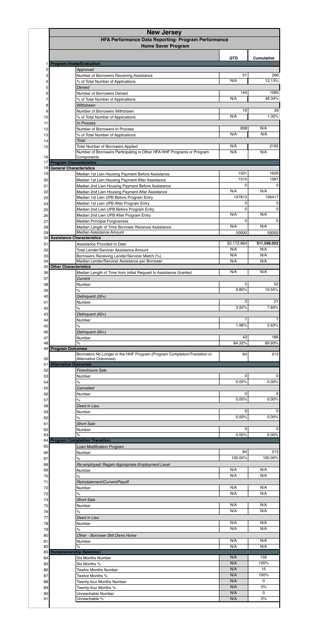|                                                                  | HFA Performance Data Reporting- Program Performance<br><b>Home Saver Program</b>                                   |                      |                                                                                                                                                   |
|------------------------------------------------------------------|--------------------------------------------------------------------------------------------------------------------|----------------------|---------------------------------------------------------------------------------------------------------------------------------------------------|
| <b>Program Intake/Evaluation</b>                                 |                                                                                                                    | <b>QTD</b>           | <b>Cumulative</b>                                                                                                                                 |
|                                                                  | Approved                                                                                                           |                      |                                                                                                                                                   |
|                                                                  | Number of Borrowers Receiving Assistance<br>% of Total Number of Applications                                      | 51<br>N/A            |                                                                                                                                                   |
|                                                                  | Denied                                                                                                             |                      |                                                                                                                                                   |
|                                                                  | Number of Borrowers Denied                                                                                         | 144                  |                                                                                                                                                   |
|                                                                  | % of Total Number of Applications<br>Withdrawn                                                                     | N/A                  |                                                                                                                                                   |
|                                                                  | Number of Borrowers Withdrawn                                                                                      | 19                   |                                                                                                                                                   |
|                                                                  | % of Total Number of Applications                                                                                  | N/A                  |                                                                                                                                                   |
|                                                                  | In Process<br>Number of Borrowers In Process                                                                       | 838                  | N/A                                                                                                                                               |
|                                                                  | % of Total Number of Applications                                                                                  | N/A                  | N/A                                                                                                                                               |
| <b>Total</b>                                                     |                                                                                                                    |                      |                                                                                                                                                   |
|                                                                  | <b>Total Number of Borrowers Applied</b><br>Number of Borrowers Participating in Other HFA HHF Programs or Program | N/A<br>N/A           | N/A                                                                                                                                               |
|                                                                  | Components                                                                                                         |                      |                                                                                                                                                   |
| <b>Program Characteristics</b><br><b>General Characteristics</b> |                                                                                                                    |                      |                                                                                                                                                   |
|                                                                  | Median 1st Lien Housing Payment Before Assistance                                                                  | 1531                 |                                                                                                                                                   |
|                                                                  | Median 1st Lien Housing Payment After Assistance                                                                   | 1510<br>0            |                                                                                                                                                   |
|                                                                  | Median 2nd Lien Housing Payment Before Assistance<br>Median 2nd Lien Housing Payment After Assistance              | N/A                  | N/A                                                                                                                                               |
|                                                                  | Median 1st Lien UPB Before Program Entry                                                                           | 197813               |                                                                                                                                                   |
|                                                                  | Median 1st Lien UPB After Program Entry                                                                            | 0                    |                                                                                                                                                   |
|                                                                  | Median 2nd Lien UPB Before Program Entry<br>Median 2nd Lien UPB After Program Entry                                | 0<br>N/A             | N/A                                                                                                                                               |
|                                                                  | Median Principal Forgiveness                                                                                       | 0                    |                                                                                                                                                   |
|                                                                  | Median Length of Time Borrower Receives Assistance                                                                 | N/A                  | N/A                                                                                                                                               |
| <b>Assistance Characteristics</b>                                | <b>Median Assistance Amount</b>                                                                                    | 50000                |                                                                                                                                                   |
|                                                                  | Assistance Provided to Date                                                                                        | \$2,172,894          | \$11,599,002                                                                                                                                      |
|                                                                  | <b>Total Lender/Servicer Assistance Amount</b>                                                                     | N/A                  | N/A                                                                                                                                               |
|                                                                  | Borrowers Receiving Lender/Servicer Match (%)<br>Median Lender/Servicer Assistance per Borrower                    | N/A<br>N/A           | N/A<br>N/A                                                                                                                                        |
| <b>Other Characteristics</b>                                     |                                                                                                                    |                      |                                                                                                                                                   |
|                                                                  | Median Length of Time from Initial Request to Assistance Granted                                                   | N/A                  | N/A                                                                                                                                               |
|                                                                  | Current<br>Number                                                                                                  | 5                    |                                                                                                                                                   |
| $\%$                                                             |                                                                                                                    | 9.80%                |                                                                                                                                                   |
|                                                                  | Delinquent (30+)                                                                                                   | 2                    |                                                                                                                                                   |
| $\%$                                                             | Number                                                                                                             | 3.92%                |                                                                                                                                                   |
|                                                                  | Delinquent (60+)                                                                                                   |                      |                                                                                                                                                   |
|                                                                  | Number                                                                                                             |                      |                                                                                                                                                   |
| $\%$                                                             | Delinquent (90+)                                                                                                   | 1.96%                |                                                                                                                                                   |
|                                                                  | Number                                                                                                             | 43                   |                                                                                                                                                   |
| $\%$<br><b>Program Outcomes</b>                                  |                                                                                                                    | 84.32%               |                                                                                                                                                   |
|                                                                  | Borrowers No Longer in the HHF Program (Program Completion/Transition or                                           | 84                   |                                                                                                                                                   |
| <b>Alternative Outcomes</b>                                      | <b>Alternative Outcomes)</b>                                                                                       |                      |                                                                                                                                                   |
|                                                                  | <b>Foreclosure Sale</b>                                                                                            |                      |                                                                                                                                                   |
| $\frac{1}{2}$                                                    | Number                                                                                                             | 0<br>0.00%           |                                                                                                                                                   |
|                                                                  | Cancelled                                                                                                          |                      |                                                                                                                                                   |
|                                                                  |                                                                                                                    |                      |                                                                                                                                                   |
|                                                                  | Number                                                                                                             | 0                    |                                                                                                                                                   |
| $\%$                                                             |                                                                                                                    | 0.00%                |                                                                                                                                                   |
|                                                                  | Deed in Lieu<br>Number                                                                                             | $\mathbf 0$          |                                                                                                                                                   |
| $\%$                                                             |                                                                                                                    | 0.00%                |                                                                                                                                                   |
|                                                                  | <b>Short Sale</b>                                                                                                  |                      |                                                                                                                                                   |
| $\%$                                                             | Number                                                                                                             | $\mathbf 0$<br>0.00% |                                                                                                                                                   |
|                                                                  |                                                                                                                    |                      |                                                                                                                                                   |
|                                                                  | <b>Loan Modification Program</b>                                                                                   |                      |                                                                                                                                                   |
| $\%$                                                             | Number                                                                                                             | 84<br>100.00%        |                                                                                                                                                   |
|                                                                  | Re-employed/ Regain Appropriate Employment Level                                                                   |                      |                                                                                                                                                   |
|                                                                  | Number                                                                                                             | N/A                  |                                                                                                                                                   |
| $\%$                                                             |                                                                                                                    | N/A                  |                                                                                                                                                   |
|                                                                  | Reinstatement/Current/Payoff<br>Number                                                                             | N/A                  |                                                                                                                                                   |
| $\%$                                                             |                                                                                                                    | N/A                  |                                                                                                                                                   |
|                                                                  | <b>Short Sale</b>                                                                                                  | N/A                  |                                                                                                                                                   |
| $\%$                                                             | Number                                                                                                             | N/A                  |                                                                                                                                                   |
|                                                                  | Deed in Lieu                                                                                                       |                      |                                                                                                                                                   |
| <b>Program Completion/ Transition</b>                            | Number                                                                                                             | N/A<br>N/A           |                                                                                                                                                   |
| $\%$                                                             | Other - Borrower Still Owns Home                                                                                   |                      |                                                                                                                                                   |
|                                                                  | Number                                                                                                             | N/A                  |                                                                                                                                                   |
| $\%$                                                             |                                                                                                                    | N/A                  |                                                                                                                                                   |
|                                                                  | <b>Six Months Number</b>                                                                                           | N/A                  |                                                                                                                                                   |
|                                                                  | Six Months %                                                                                                       | N/A                  |                                                                                                                                                   |
|                                                                  | <b>Twelve Months Number</b>                                                                                        | N/A                  |                                                                                                                                                   |
|                                                                  | Twelve Months %<br><b>Twenty-four Months Number</b>                                                                | N/A<br>N/A           |                                                                                                                                                   |
| <b>Homeownership Retention</b>                                   | Twenty-four Months %<br>Unreachable Number                                                                         | N/A<br>N/A           | 100.00%<br>N/A<br>N/A<br>N/A<br>N/A<br>N/A<br>N/A<br>N/A<br>N/A<br>N/A<br>N/A<br>156<br>100%<br>15<br>100%<br>$\mathbf 0$<br>$0\%$<br>$\mathbf 0$ |